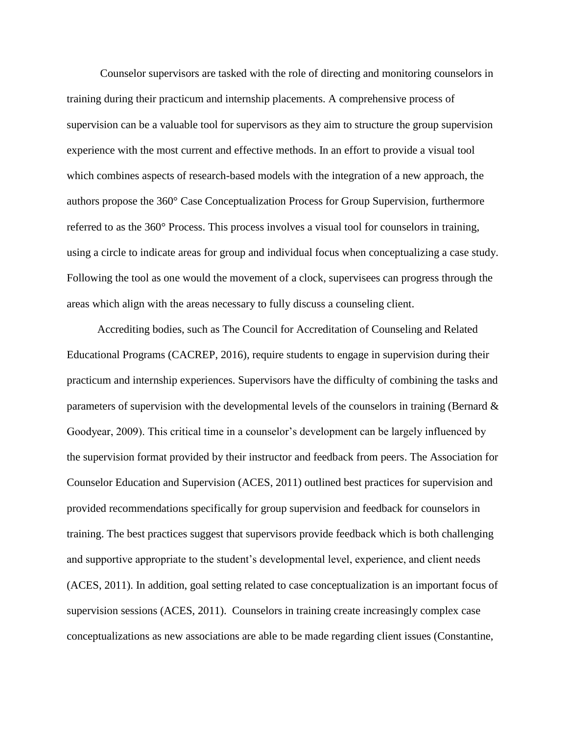Counselor supervisors are tasked with the role of directing and monitoring counselors in training during their practicum and internship placements. A comprehensive process of supervision can be a valuable tool for supervisors as they aim to structure the group supervision experience with the most current and effective methods. In an effort to provide a visual tool which combines aspects of research-based models with the integration of a new approach, the authors propose the 360° Case Conceptualization Process for Group Supervision, furthermore referred to as the 360° Process. This process involves a visual tool for counselors in training, using a circle to indicate areas for group and individual focus when conceptualizing a case study. Following the tool as one would the movement of a clock, supervisees can progress through the areas which align with the areas necessary to fully discuss a counseling client.

 Accrediting bodies, such as The Council for Accreditation of Counseling and Related Educational Programs (CACREP, 2016), require students to engage in supervision during their practicum and internship experiences. Supervisors have the difficulty of combining the tasks and parameters of supervision with the developmental levels of the counselors in training (Bernard & Goodyear, 2009). This critical time in a counselor's development can be largely influenced by the supervision format provided by their instructor and feedback from peers. The Association for Counselor Education and Supervision (ACES, 2011) outlined best practices for supervision and provided recommendations specifically for group supervision and feedback for counselors in training. The best practices suggest that supervisors provide feedback which is both challenging and supportive appropriate to the student's developmental level, experience, and client needs (ACES, 2011). In addition, goal setting related to case conceptualization is an important focus of supervision sessions (ACES, 2011). Counselors in training create increasingly complex case conceptualizations as new associations are able to be made regarding client issues (Constantine,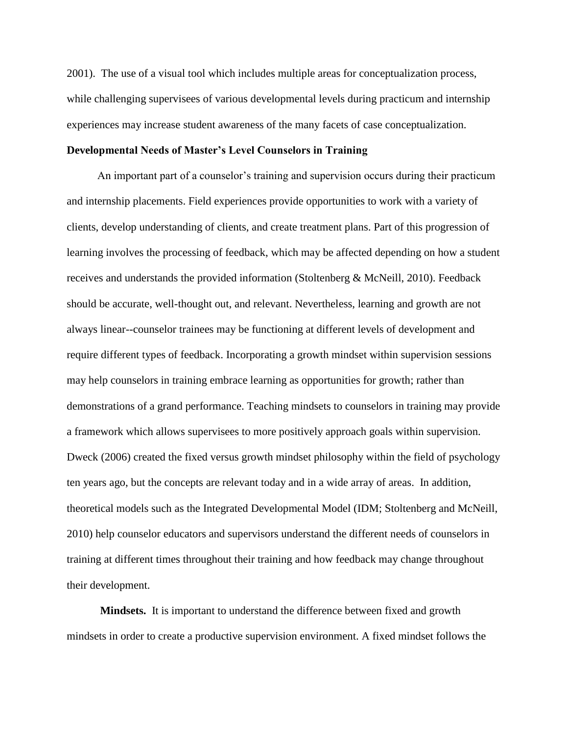2001). The use of a visual tool which includes multiple areas for conceptualization process, while challenging supervisees of various developmental levels during practicum and internship experiences may increase student awareness of the many facets of case conceptualization.

## **Developmental Needs of Master's Level Counselors in Training**

 An important part of a counselor's training and supervision occurs during their practicum and internship placements. Field experiences provide opportunities to work with a variety of clients, develop understanding of clients, and create treatment plans. Part of this progression of learning involves the processing of feedback, which may be affected depending on how a student receives and understands the provided information (Stoltenberg & McNeill, 2010). Feedback should be accurate, well-thought out, and relevant. Nevertheless, learning and growth are not always linear--counselor trainees may be functioning at different levels of development and require different types of feedback. Incorporating a growth mindset within supervision sessions may help counselors in training embrace learning as opportunities for growth; rather than demonstrations of a grand performance. Teaching mindsets to counselors in training may provide a framework which allows supervisees to more positively approach goals within supervision. Dweck (2006) created the fixed versus growth mindset philosophy within the field of psychology ten years ago, but the concepts are relevant today and in a wide array of areas. In addition, theoretical models such as the Integrated Developmental Model (IDM; Stoltenberg and McNeill, 2010) help counselor educators and supervisors understand the different needs of counselors in training at different times throughout their training and how feedback may change throughout their development.

**Mindsets.** It is important to understand the difference between fixed and growth mindsets in order to create a productive supervision environment. A fixed mindset follows the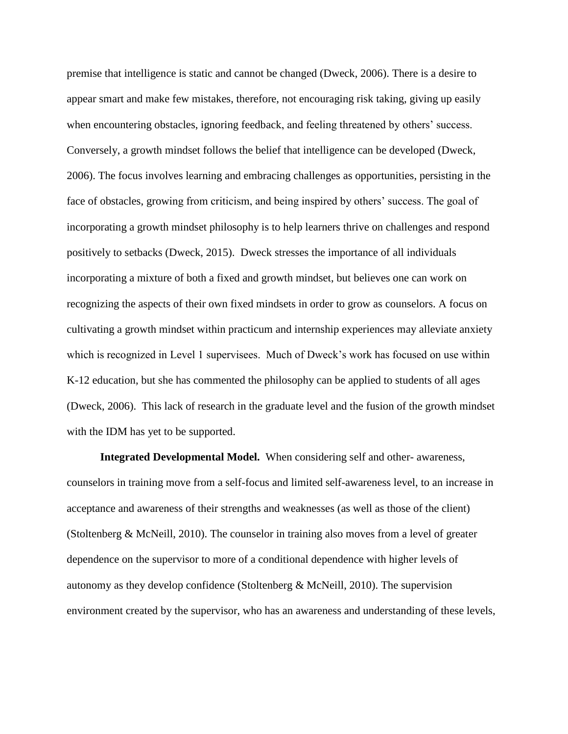premise that intelligence is static and cannot be changed (Dweck, 2006). There is a desire to appear smart and make few mistakes, therefore, not encouraging risk taking, giving up easily when encountering obstacles, ignoring feedback, and feeling threatened by others' success. Conversely, a growth mindset follows the belief that intelligence can be developed (Dweck, 2006). The focus involves learning and embracing challenges as opportunities, persisting in the face of obstacles, growing from criticism, and being inspired by others' success. The goal of incorporating a growth mindset philosophy is to help learners thrive on challenges and respond positively to setbacks (Dweck, 2015). Dweck stresses the importance of all individuals incorporating a mixture of both a fixed and growth mindset, but believes one can work on recognizing the aspects of their own fixed mindsets in order to grow as counselors. A focus on cultivating a growth mindset within practicum and internship experiences may alleviate anxiety which is recognized in Level 1 supervisees. Much of Dweck's work has focused on use within K-12 education, but she has commented the philosophy can be applied to students of all ages (Dweck, 2006). This lack of research in the graduate level and the fusion of the growth mindset with the IDM has yet to be supported.

**Integrated Developmental Model.** When considering self and other- awareness, counselors in training move from a self-focus and limited self-awareness level, to an increase in acceptance and awareness of their strengths and weaknesses (as well as those of the client) (Stoltenberg & McNeill, 2010). The counselor in training also moves from a level of greater dependence on the supervisor to more of a conditional dependence with higher levels of autonomy as they develop confidence (Stoltenberg & McNeill, 2010). The supervision environment created by the supervisor, who has an awareness and understanding of these levels,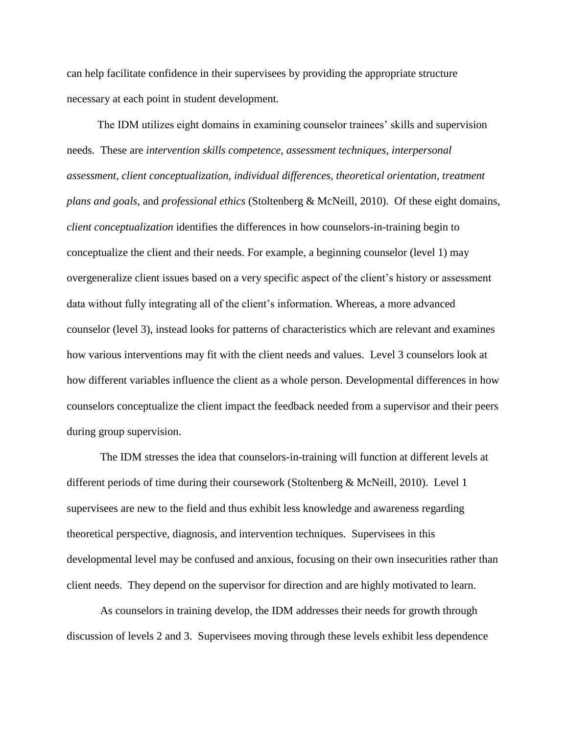can help facilitate confidence in their supervisees by providing the appropriate structure necessary at each point in student development.

 The IDM utilizes eight domains in examining counselor trainees' skills and supervision needs. These are *intervention skills competence, assessment techniques, interpersonal assessment, client conceptualization, individual differences, theoretical orientation, treatment plans and goals,* and *professional ethics* (Stoltenberg & McNeill, 2010). Of these eight domains, *client conceptualization* identifies the differences in how counselors-in-training begin to conceptualize the client and their needs. For example, a beginning counselor (level 1) may overgeneralize client issues based on a very specific aspect of the client's history or assessment data without fully integrating all of the client's information. Whereas, a more advanced counselor (level 3), instead looks for patterns of characteristics which are relevant and examines how various interventions may fit with the client needs and values. Level 3 counselors look at how different variables influence the client as a whole person. Developmental differences in how counselors conceptualize the client impact the feedback needed from a supervisor and their peers during group supervision.

The IDM stresses the idea that counselors-in-training will function at different levels at different periods of time during their coursework (Stoltenberg & McNeill, 2010). Level 1 supervisees are new to the field and thus exhibit less knowledge and awareness regarding theoretical perspective, diagnosis, and intervention techniques. Supervisees in this developmental level may be confused and anxious, focusing on their own insecurities rather than client needs. They depend on the supervisor for direction and are highly motivated to learn.

As counselors in training develop, the IDM addresses their needs for growth through discussion of levels 2 and 3. Supervisees moving through these levels exhibit less dependence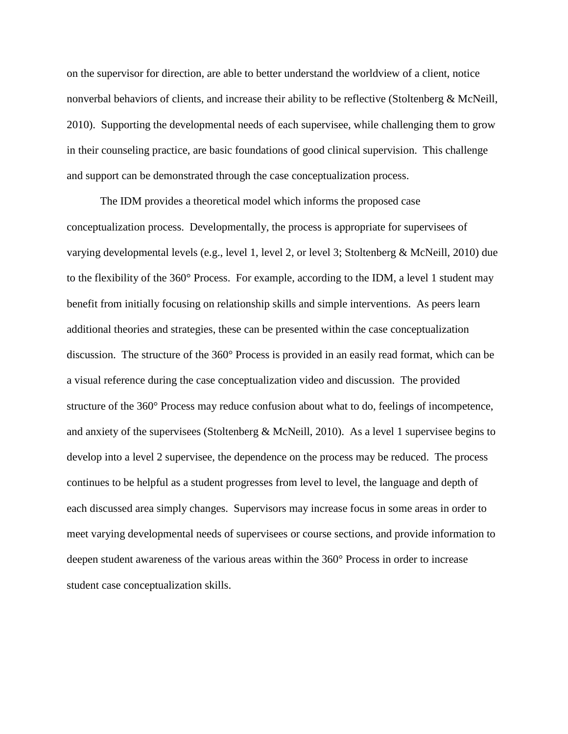on the supervisor for direction, are able to better understand the worldview of a client, notice nonverbal behaviors of clients, and increase their ability to be reflective (Stoltenberg & McNeill, 2010). Supporting the developmental needs of each supervisee, while challenging them to grow in their counseling practice, are basic foundations of good clinical supervision. This challenge and support can be demonstrated through the case conceptualization process.

The IDM provides a theoretical model which informs the proposed case conceptualization process. Developmentally, the process is appropriate for supervisees of varying developmental levels (e.g., level 1, level 2, or level 3; Stoltenberg & McNeill, 2010) due to the flexibility of the 360° Process. For example, according to the IDM, a level 1 student may benefit from initially focusing on relationship skills and simple interventions. As peers learn additional theories and strategies, these can be presented within the case conceptualization discussion. The structure of the 360° Process is provided in an easily read format, which can be a visual reference during the case conceptualization video and discussion. The provided structure of the 360° Process may reduce confusion about what to do, feelings of incompetence, and anxiety of the supervisees (Stoltenberg & McNeill, 2010). As a level 1 supervisee begins to develop into a level 2 supervisee, the dependence on the process may be reduced. The process continues to be helpful as a student progresses from level to level, the language and depth of each discussed area simply changes. Supervisors may increase focus in some areas in order to meet varying developmental needs of supervisees or course sections, and provide information to deepen student awareness of the various areas within the 360° Process in order to increase student case conceptualization skills.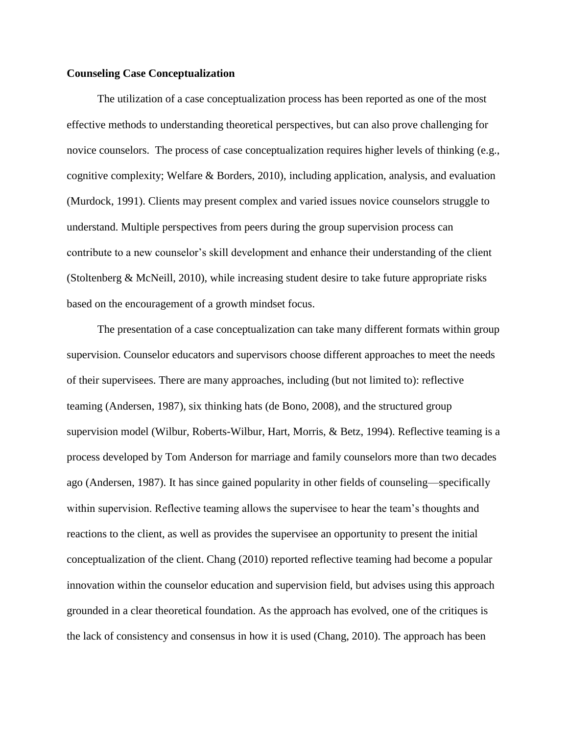## **Counseling Case Conceptualization**

 The utilization of a case conceptualization process has been reported as one of the most effective methods to understanding theoretical perspectives, but can also prove challenging for novice counselors. The process of case conceptualization requires higher levels of thinking (e.g., cognitive complexity; Welfare & Borders, 2010), including application, analysis, and evaluation (Murdock, 1991). Clients may present complex and varied issues novice counselors struggle to understand. Multiple perspectives from peers during the group supervision process can contribute to a new counselor's skill development and enhance their understanding of the client (Stoltenberg & McNeill, 2010), while increasing student desire to take future appropriate risks based on the encouragement of a growth mindset focus.

 The presentation of a case conceptualization can take many different formats within group supervision. Counselor educators and supervisors choose different approaches to meet the needs of their supervisees. There are many approaches, including (but not limited to): reflective teaming (Andersen, 1987), six thinking hats (de Bono, 2008), and the structured group supervision model (Wilbur, Roberts-Wilbur, Hart, Morris, & Betz, 1994). Reflective teaming is a process developed by Tom Anderson for marriage and family counselors more than two decades ago (Andersen, 1987). It has since gained popularity in other fields of counseling—specifically within supervision. Reflective teaming allows the supervisee to hear the team's thoughts and reactions to the client, as well as provides the supervisee an opportunity to present the initial conceptualization of the client. Chang (2010) reported reflective teaming had become a popular innovation within the counselor education and supervision field, but advises using this approach grounded in a clear theoretical foundation. As the approach has evolved, one of the critiques is the lack of consistency and consensus in how it is used (Chang, 2010). The approach has been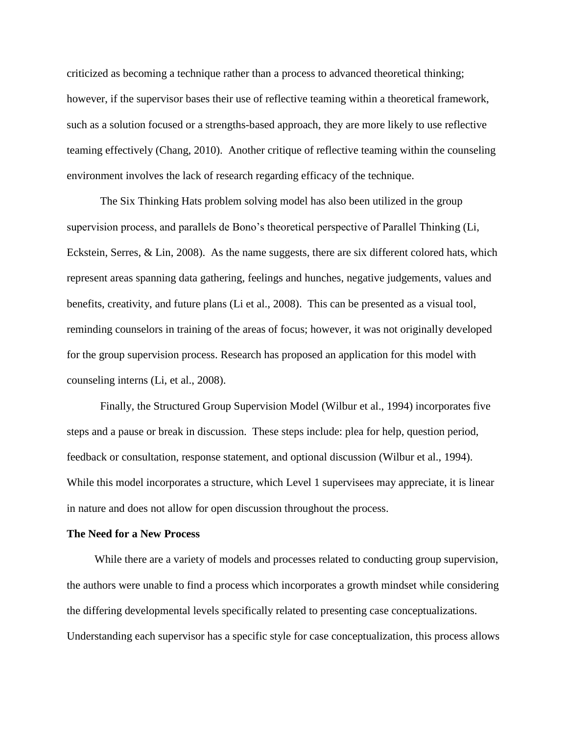criticized as becoming a technique rather than a process to advanced theoretical thinking; however, if the supervisor bases their use of reflective teaming within a theoretical framework, such as a solution focused or a strengths-based approach, they are more likely to use reflective teaming effectively (Chang, 2010). Another critique of reflective teaming within the counseling environment involves the lack of research regarding efficacy of the technique.

The Six Thinking Hats problem solving model has also been utilized in the group supervision process, and parallels de Bono's theoretical perspective of Parallel Thinking (Li, Eckstein, Serres, & Lin, 2008). As the name suggests, there are six different colored hats, which represent areas spanning data gathering, feelings and hunches, negative judgements, values and benefits, creativity, and future plans (Li et al., 2008). This can be presented as a visual tool, reminding counselors in training of the areas of focus; however, it was not originally developed for the group supervision process. Research has proposed an application for this model with counseling interns (Li, et al., 2008).

Finally, the Structured Group Supervision Model (Wilbur et al., 1994) incorporates five steps and a pause or break in discussion. These steps include: plea for help, question period, feedback or consultation, response statement, and optional discussion (Wilbur et al., 1994). While this model incorporates a structure, which Level 1 supervisees may appreciate, it is linear in nature and does not allow for open discussion throughout the process.

#### **The Need for a New Process**

 While there are a variety of models and processes related to conducting group supervision, the authors were unable to find a process which incorporates a growth mindset while considering the differing developmental levels specifically related to presenting case conceptualizations. Understanding each supervisor has a specific style for case conceptualization, this process allows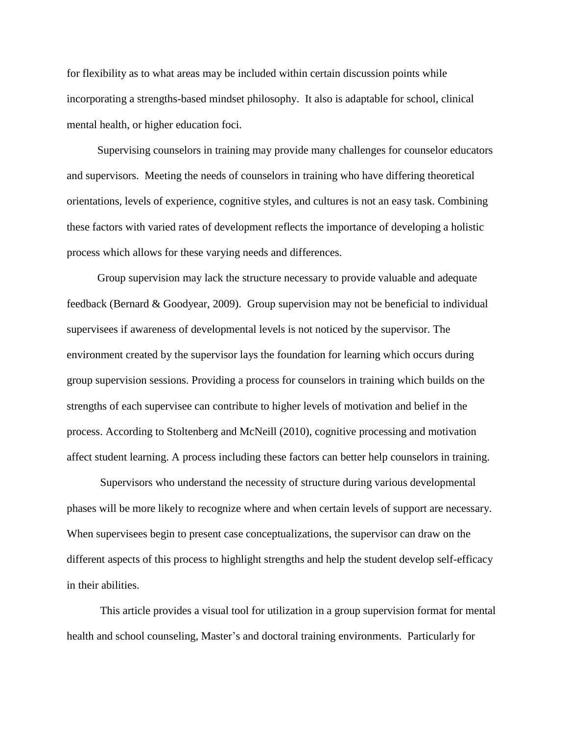for flexibility as to what areas may be included within certain discussion points while incorporating a strengths-based mindset philosophy. It also is adaptable for school, clinical mental health, or higher education foci.

 Supervising counselors in training may provide many challenges for counselor educators and supervisors. Meeting the needs of counselors in training who have differing theoretical orientations, levels of experience, cognitive styles, and cultures is not an easy task. Combining these factors with varied rates of development reflects the importance of developing a holistic process which allows for these varying needs and differences.

 Group supervision may lack the structure necessary to provide valuable and adequate feedback (Bernard & Goodyear, 2009). Group supervision may not be beneficial to individual supervisees if awareness of developmental levels is not noticed by the supervisor. The environment created by the supervisor lays the foundation for learning which occurs during group supervision sessions. Providing a process for counselors in training which builds on the strengths of each supervisee can contribute to higher levels of motivation and belief in the process. According to Stoltenberg and McNeill (2010), cognitive processing and motivation affect student learning. A process including these factors can better help counselors in training.

Supervisors who understand the necessity of structure during various developmental phases will be more likely to recognize where and when certain levels of support are necessary. When supervisees begin to present case conceptualizations, the supervisor can draw on the different aspects of this process to highlight strengths and help the student develop self-efficacy in their abilities.

This article provides a visual tool for utilization in a group supervision format for mental health and school counseling, Master's and doctoral training environments. Particularly for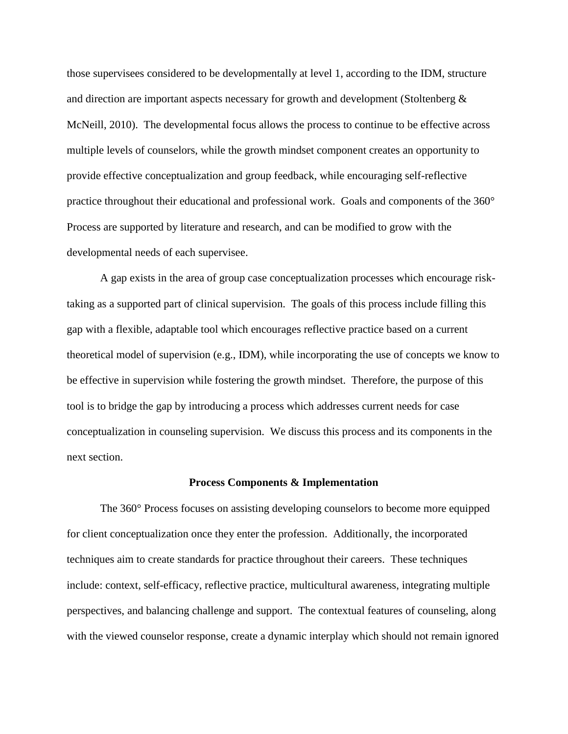those supervisees considered to be developmentally at level 1, according to the IDM, structure and direction are important aspects necessary for growth and development (Stoltenberg & McNeill, 2010). The developmental focus allows the process to continue to be effective across multiple levels of counselors, while the growth mindset component creates an opportunity to provide effective conceptualization and group feedback, while encouraging self-reflective practice throughout their educational and professional work. Goals and components of the 360° Process are supported by literature and research, and can be modified to grow with the developmental needs of each supervisee.

A gap exists in the area of group case conceptualization processes which encourage risktaking as a supported part of clinical supervision. The goals of this process include filling this gap with a flexible, adaptable tool which encourages reflective practice based on a current theoretical model of supervision (e.g., IDM), while incorporating the use of concepts we know to be effective in supervision while fostering the growth mindset. Therefore, the purpose of this tool is to bridge the gap by introducing a process which addresses current needs for case conceptualization in counseling supervision. We discuss this process and its components in the next section.

#### **Process Components & Implementation**

The 360° Process focuses on assisting developing counselors to become more equipped for client conceptualization once they enter the profession. Additionally, the incorporated techniques aim to create standards for practice throughout their careers. These techniques include: context, self-efficacy, reflective practice, multicultural awareness, integrating multiple perspectives, and balancing challenge and support. The contextual features of counseling, along with the viewed counselor response, create a dynamic interplay which should not remain ignored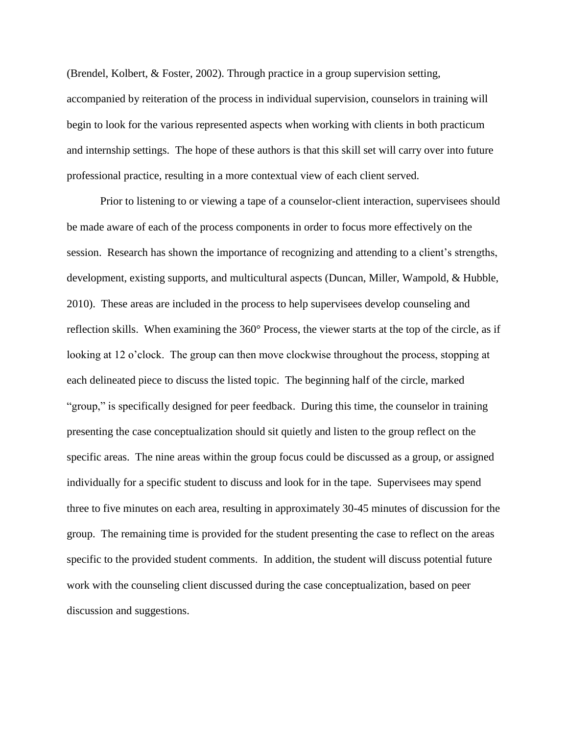(Brendel, Kolbert, & Foster, 2002). Through practice in a group supervision setting, accompanied by reiteration of the process in individual supervision, counselors in training will begin to look for the various represented aspects when working with clients in both practicum and internship settings. The hope of these authors is that this skill set will carry over into future professional practice, resulting in a more contextual view of each client served.

Prior to listening to or viewing a tape of a counselor-client interaction, supervisees should be made aware of each of the process components in order to focus more effectively on the session. Research has shown the importance of recognizing and attending to a client's strengths, development, existing supports, and multicultural aspects (Duncan, Miller, Wampold, & Hubble, 2010). These areas are included in the process to help supervisees develop counseling and reflection skills. When examining the 360° Process, the viewer starts at the top of the circle, as if looking at 12 o'clock. The group can then move clockwise throughout the process, stopping at each delineated piece to discuss the listed topic. The beginning half of the circle, marked "group," is specifically designed for peer feedback. During this time, the counselor in training presenting the case conceptualization should sit quietly and listen to the group reflect on the specific areas. The nine areas within the group focus could be discussed as a group, or assigned individually for a specific student to discuss and look for in the tape. Supervisees may spend three to five minutes on each area, resulting in approximately 30-45 minutes of discussion for the group. The remaining time is provided for the student presenting the case to reflect on the areas specific to the provided student comments. In addition, the student will discuss potential future work with the counseling client discussed during the case conceptualization, based on peer discussion and suggestions.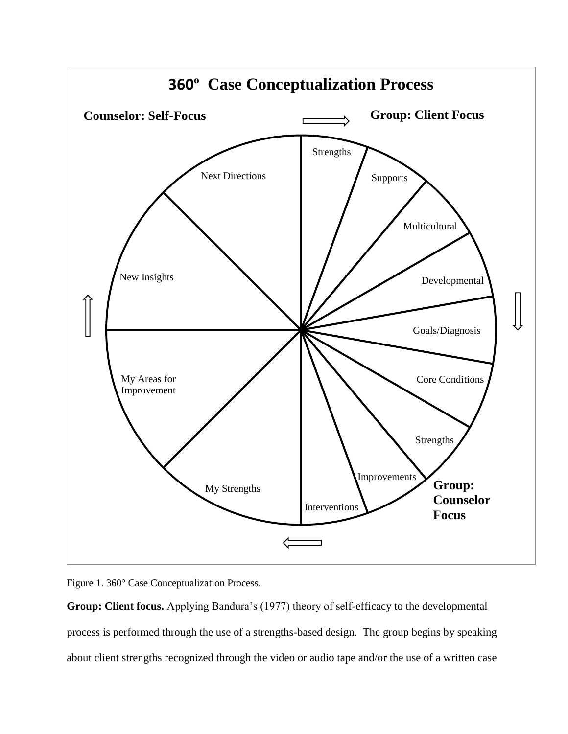

Figure 1. 360° Case Conceptualization Process.

**Group: Client focus.** Applying Bandura's (1977) theory of self-efficacy to the developmental process is performed through the use of a strengths-based design. The group begins by speaking about client strengths recognized through the video or audio tape and/or the use of a written case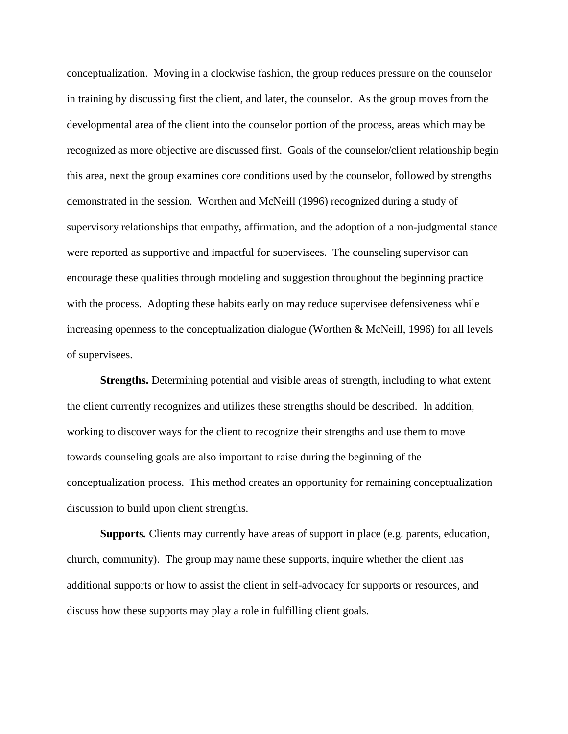conceptualization. Moving in a clockwise fashion, the group reduces pressure on the counselor in training by discussing first the client, and later, the counselor. As the group moves from the developmental area of the client into the counselor portion of the process, areas which may be recognized as more objective are discussed first. Goals of the counselor/client relationship begin this area, next the group examines core conditions used by the counselor, followed by strengths demonstrated in the session. Worthen and McNeill (1996) recognized during a study of supervisory relationships that empathy, affirmation, and the adoption of a non-judgmental stance were reported as supportive and impactful for supervisees. The counseling supervisor can encourage these qualities through modeling and suggestion throughout the beginning practice with the process. Adopting these habits early on may reduce supervisee defensiveness while increasing openness to the conceptualization dialogue (Worthen  $\&$  McNeill, 1996) for all levels of supervisees.

**Strengths.** Determining potential and visible areas of strength, including to what extent the client currently recognizes and utilizes these strengths should be described. In addition, working to discover ways for the client to recognize their strengths and use them to move towards counseling goals are also important to raise during the beginning of the conceptualization process. This method creates an opportunity for remaining conceptualization discussion to build upon client strengths.

**Supports***.* Clients may currently have areas of support in place (e.g. parents, education, church, community). The group may name these supports, inquire whether the client has additional supports or how to assist the client in self-advocacy for supports or resources, and discuss how these supports may play a role in fulfilling client goals.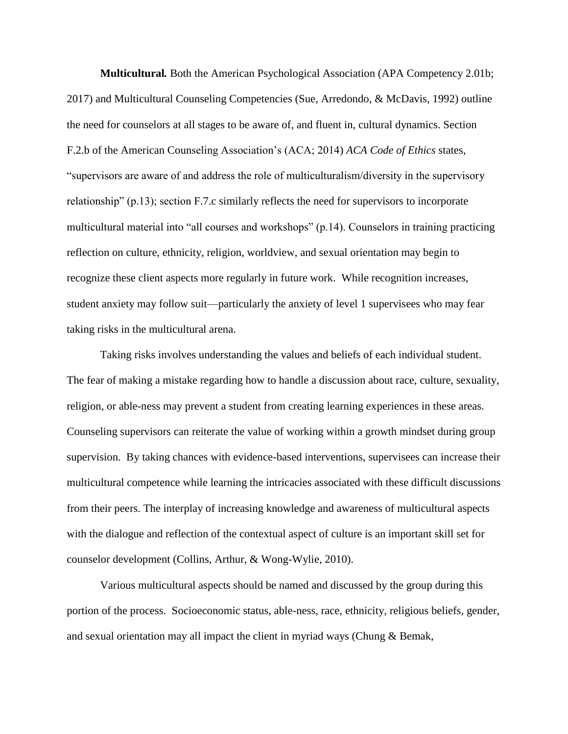**Multicultural***.* Both the American Psychological Association (APA Competency 2.01b; 2017) and Multicultural Counseling Competencies (Sue, Arredondo, & McDavis, 1992) outline the need for counselors at all stages to be aware of, and fluent in, cultural dynamics. Section F.2.b of the American Counseling Association's (ACA; 2014) *ACA Code of Ethics* states, "supervisors are aware of and address the role of multiculturalism/diversity in the supervisory relationship" (p.13); section F.7.c similarly reflects the need for supervisors to incorporate multicultural material into "all courses and workshops" (p.14). Counselors in training practicing reflection on culture, ethnicity, religion, worldview, and sexual orientation may begin to recognize these client aspects more regularly in future work. While recognition increases, student anxiety may follow suit—particularly the anxiety of level 1 supervisees who may fear taking risks in the multicultural arena.

Taking risks involves understanding the values and beliefs of each individual student. The fear of making a mistake regarding how to handle a discussion about race, culture, sexuality, religion, or able-ness may prevent a student from creating learning experiences in these areas. Counseling supervisors can reiterate the value of working within a growth mindset during group supervision. By taking chances with evidence-based interventions, supervisees can increase their multicultural competence while learning the intricacies associated with these difficult discussions from their peers. The interplay of increasing knowledge and awareness of multicultural aspects with the dialogue and reflection of the contextual aspect of culture is an important skill set for counselor development (Collins, Arthur, & Wong-Wylie, 2010).

Various multicultural aspects should be named and discussed by the group during this portion of the process. Socioeconomic status, able-ness, race, ethnicity, religious beliefs, gender, and sexual orientation may all impact the client in myriad ways (Chung & Bemak,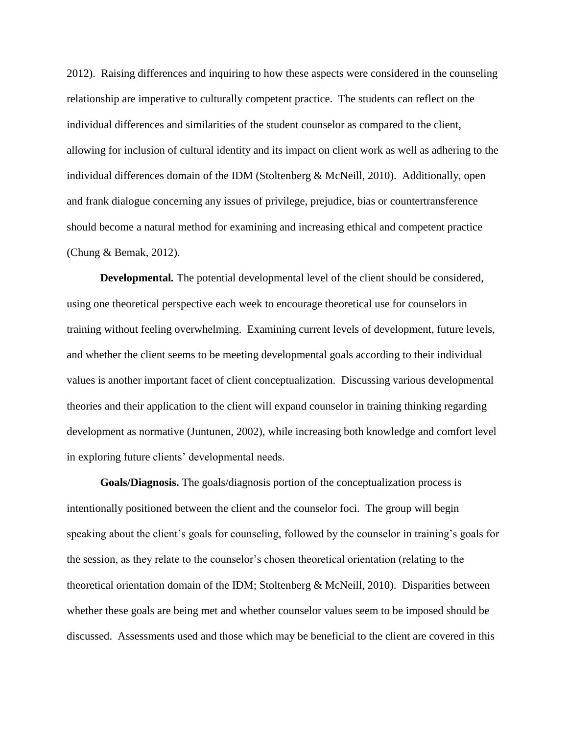2012). Raising differences and inquiring to how these aspects were considered in the counseling relationship are imperative to culturally competent practice. The students can reflect on the individual differences and similarities of the student counselor as compared to the client, allowing for inclusion of cultural identity and its impact on client work as well as adhering to the individual differences domain of the IDM (Stoltenberg & McNeill, 2010). Additionally, open and frank dialogue concerning any issues of privilege, prejudice, bias or countertransference should become a natural method for examining and increasing ethical and competent practice (Chung & Bemak, 2012).

**Developmental***.* The potential developmental level of the client should be considered, using one theoretical perspective each week to encourage theoretical use for counselors in training without feeling overwhelming. Examining current levels of development, future levels, and whether the client seems to be meeting developmental goals according to their individual values is another important facet of client conceptualization. Discussing various developmental theories and their application to the client will expand counselor in training thinking regarding development as normative (Juntunen, 2002), while increasing both knowledge and comfort level in exploring future clients' developmental needs.

**Goals/Diagnosis.** The goals/diagnosis portion of the conceptualization process is intentionally positioned between the client and the counselor foci. The group will begin speaking about the client's goals for counseling, followed by the counselor in training's goals for the session, as they relate to the counselor's chosen theoretical orientation (relating to the theoretical orientation domain of the IDM; Stoltenberg & McNeill, 2010). Disparities between whether these goals are being met and whether counselor values seem to be imposed should be discussed. Assessments used and those which may be beneficial to the client are covered in this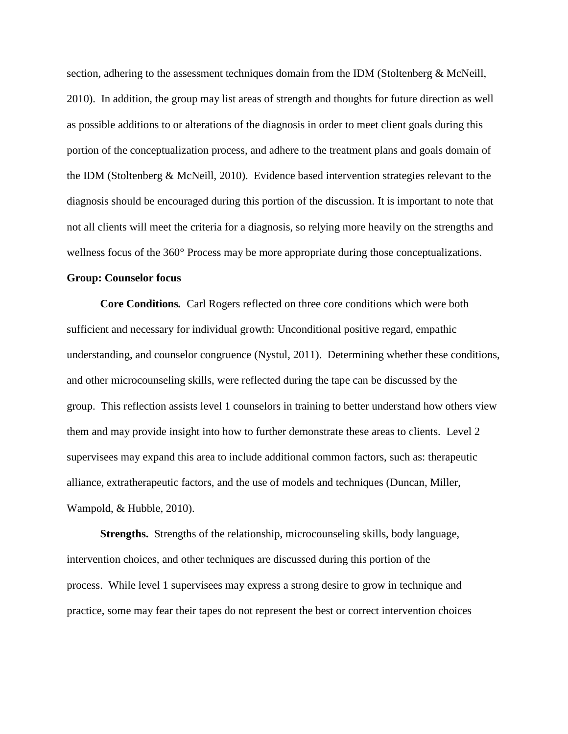section, adhering to the assessment techniques domain from the IDM (Stoltenberg & McNeill, 2010). In addition, the group may list areas of strength and thoughts for future direction as well as possible additions to or alterations of the diagnosis in order to meet client goals during this portion of the conceptualization process, and adhere to the treatment plans and goals domain of the IDM (Stoltenberg & McNeill, 2010). Evidence based intervention strategies relevant to the diagnosis should be encouraged during this portion of the discussion. It is important to note that not all clients will meet the criteria for a diagnosis, so relying more heavily on the strengths and wellness focus of the 360° Process may be more appropriate during those conceptualizations.

## **Group: Counselor focus**

**Core Conditions***.* Carl Rogers reflected on three core conditions which were both sufficient and necessary for individual growth: Unconditional positive regard, empathic understanding, and counselor congruence (Nystul, 2011). Determining whether these conditions, and other microcounseling skills, were reflected during the tape can be discussed by the group. This reflection assists level 1 counselors in training to better understand how others view them and may provide insight into how to further demonstrate these areas to clients. Level 2 supervisees may expand this area to include additional common factors, such as: therapeutic alliance, extratherapeutic factors, and the use of models and techniques (Duncan, Miller, Wampold, & Hubble, 2010).

**Strengths.** Strengths of the relationship, microcounseling skills, body language, intervention choices, and other techniques are discussed during this portion of the process. While level 1 supervisees may express a strong desire to grow in technique and practice, some may fear their tapes do not represent the best or correct intervention choices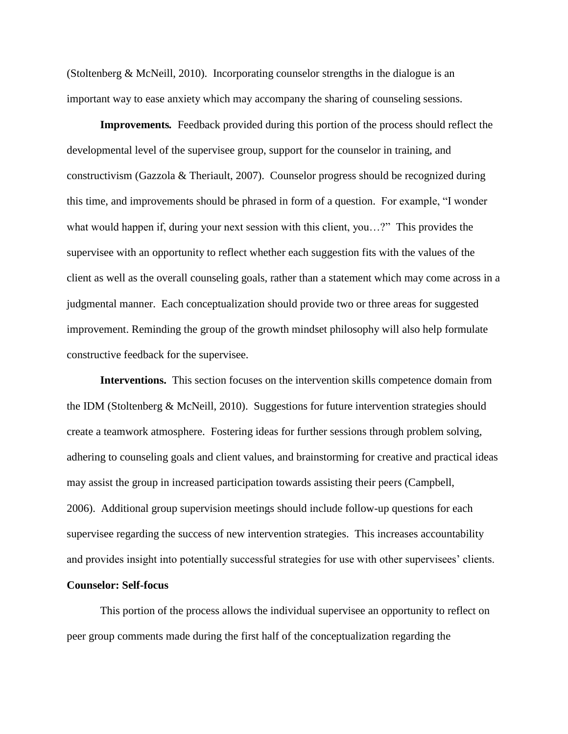(Stoltenberg & McNeill, 2010). Incorporating counselor strengths in the dialogue is an important way to ease anxiety which may accompany the sharing of counseling sessions.

**Improvements***.* Feedback provided during this portion of the process should reflect the developmental level of the supervisee group, support for the counselor in training, and constructivism (Gazzola & Theriault, 2007). Counselor progress should be recognized during this time, and improvements should be phrased in form of a question. For example, "I wonder what would happen if, during your next session with this client, you…?" This provides the supervisee with an opportunity to reflect whether each suggestion fits with the values of the client as well as the overall counseling goals, rather than a statement which may come across in a judgmental manner. Each conceptualization should provide two or three areas for suggested improvement. Reminding the group of the growth mindset philosophy will also help formulate constructive feedback for the supervisee.

**Interventions.** This section focuses on the intervention skills competence domain from the IDM (Stoltenberg & McNeill, 2010). Suggestions for future intervention strategies should create a teamwork atmosphere. Fostering ideas for further sessions through problem solving, adhering to counseling goals and client values, and brainstorming for creative and practical ideas may assist the group in increased participation towards assisting their peers (Campbell, 2006). Additional group supervision meetings should include follow-up questions for each supervisee regarding the success of new intervention strategies. This increases accountability and provides insight into potentially successful strategies for use with other supervisees' clients.

# **Counselor: Self-focus**

This portion of the process allows the individual supervisee an opportunity to reflect on peer group comments made during the first half of the conceptualization regarding the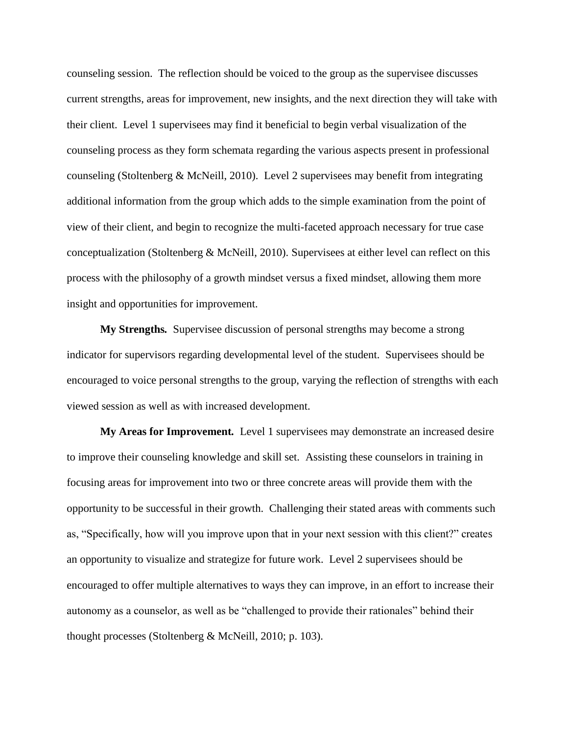counseling session. The reflection should be voiced to the group as the supervisee discusses current strengths, areas for improvement, new insights, and the next direction they will take with their client. Level 1 supervisees may find it beneficial to begin verbal visualization of the counseling process as they form schemata regarding the various aspects present in professional counseling (Stoltenberg & McNeill, 2010). Level 2 supervisees may benefit from integrating additional information from the group which adds to the simple examination from the point of view of their client, and begin to recognize the multi-faceted approach necessary for true case conceptualization (Stoltenberg & McNeill, 2010). Supervisees at either level can reflect on this process with the philosophy of a growth mindset versus a fixed mindset, allowing them more insight and opportunities for improvement.

**My Strengths***.* Supervisee discussion of personal strengths may become a strong indicator for supervisors regarding developmental level of the student. Supervisees should be encouraged to voice personal strengths to the group, varying the reflection of strengths with each viewed session as well as with increased development.

**My Areas for Improvement***.* Level 1 supervisees may demonstrate an increased desire to improve their counseling knowledge and skill set. Assisting these counselors in training in focusing areas for improvement into two or three concrete areas will provide them with the opportunity to be successful in their growth. Challenging their stated areas with comments such as, "Specifically, how will you improve upon that in your next session with this client?" creates an opportunity to visualize and strategize for future work. Level 2 supervisees should be encouraged to offer multiple alternatives to ways they can improve, in an effort to increase their autonomy as a counselor, as well as be "challenged to provide their rationales" behind their thought processes (Stoltenberg & McNeill, 2010; p. 103).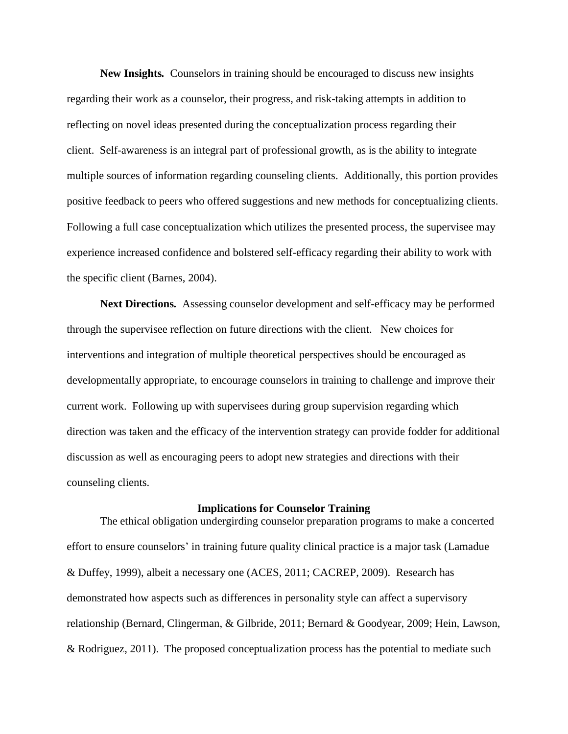**New Insights***.* Counselors in training should be encouraged to discuss new insights regarding their work as a counselor, their progress, and risk-taking attempts in addition to reflecting on novel ideas presented during the conceptualization process regarding their client. Self-awareness is an integral part of professional growth, as is the ability to integrate multiple sources of information regarding counseling clients. Additionally, this portion provides positive feedback to peers who offered suggestions and new methods for conceptualizing clients. Following a full case conceptualization which utilizes the presented process, the supervisee may experience increased confidence and bolstered self-efficacy regarding their ability to work with the specific client (Barnes, 2004).

**Next Directions***.* Assessing counselor development and self-efficacy may be performed through the supervisee reflection on future directions with the client. New choices for interventions and integration of multiple theoretical perspectives should be encouraged as developmentally appropriate, to encourage counselors in training to challenge and improve their current work. Following up with supervisees during group supervision regarding which direction was taken and the efficacy of the intervention strategy can provide fodder for additional discussion as well as encouraging peers to adopt new strategies and directions with their counseling clients.

## **Implications for Counselor Training**

The ethical obligation undergirding counselor preparation programs to make a concerted effort to ensure counselors' in training future quality clinical practice is a major task (Lamadue & Duffey, 1999), albeit a necessary one (ACES, 2011; CACREP, 2009). Research has demonstrated how aspects such as differences in personality style can affect a supervisory relationship (Bernard, Clingerman, & Gilbride, 2011; Bernard & Goodyear, 2009; Hein, Lawson, & Rodriguez, 2011). The proposed conceptualization process has the potential to mediate such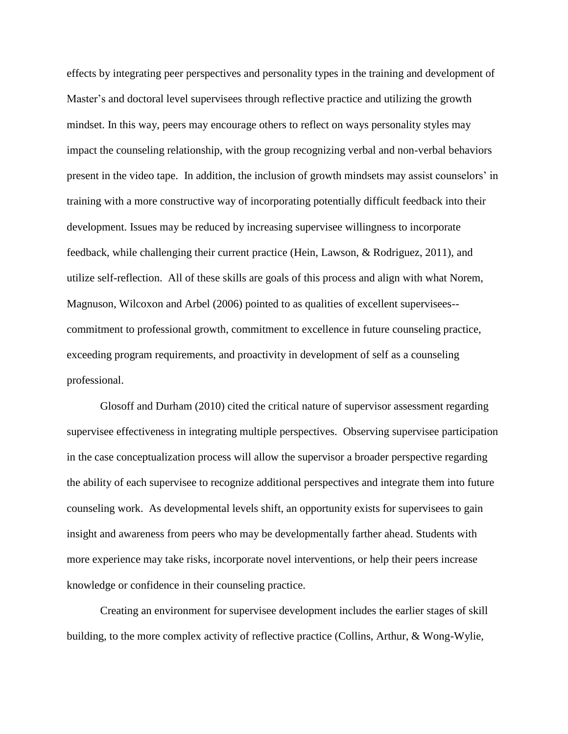effects by integrating peer perspectives and personality types in the training and development of Master's and doctoral level supervisees through reflective practice and utilizing the growth mindset. In this way, peers may encourage others to reflect on ways personality styles may impact the counseling relationship, with the group recognizing verbal and non-verbal behaviors present in the video tape. In addition, the inclusion of growth mindsets may assist counselors' in training with a more constructive way of incorporating potentially difficult feedback into their development. Issues may be reduced by increasing supervisee willingness to incorporate feedback, while challenging their current practice (Hein, Lawson, & Rodriguez, 2011), and utilize self-reflection. All of these skills are goals of this process and align with what Norem, Magnuson, Wilcoxon and Arbel (2006) pointed to as qualities of excellent supervisees- commitment to professional growth, commitment to excellence in future counseling practice, exceeding program requirements, and proactivity in development of self as a counseling professional.

Glosoff and Durham (2010) cited the critical nature of supervisor assessment regarding supervisee effectiveness in integrating multiple perspectives. Observing supervisee participation in the case conceptualization process will allow the supervisor a broader perspective regarding the ability of each supervisee to recognize additional perspectives and integrate them into future counseling work. As developmental levels shift, an opportunity exists for supervisees to gain insight and awareness from peers who may be developmentally farther ahead. Students with more experience may take risks, incorporate novel interventions, or help their peers increase knowledge or confidence in their counseling practice.

Creating an environment for supervisee development includes the earlier stages of skill building, to the more complex activity of reflective practice (Collins, Arthur, & Wong-Wylie,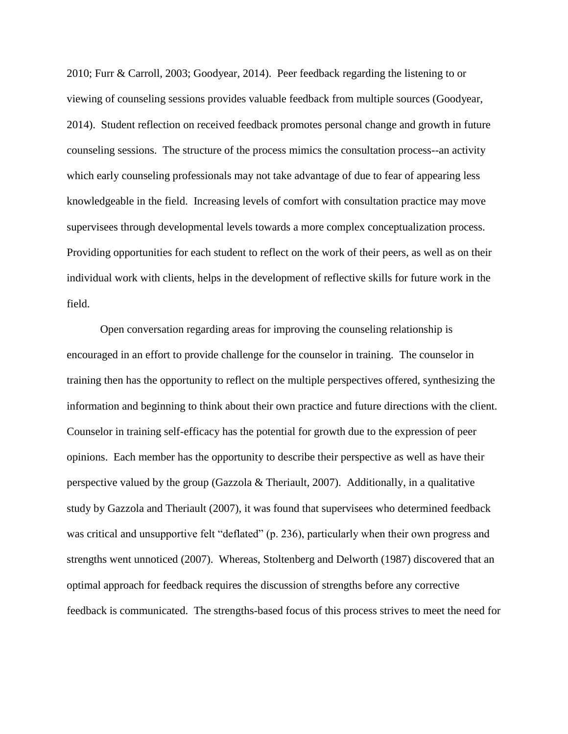2010; Furr & Carroll, 2003; Goodyear, 2014). Peer feedback regarding the listening to or viewing of counseling sessions provides valuable feedback from multiple sources (Goodyear, 2014). Student reflection on received feedback promotes personal change and growth in future counseling sessions. The structure of the process mimics the consultation process--an activity which early counseling professionals may not take advantage of due to fear of appearing less knowledgeable in the field. Increasing levels of comfort with consultation practice may move supervisees through developmental levels towards a more complex conceptualization process. Providing opportunities for each student to reflect on the work of their peers, as well as on their individual work with clients, helps in the development of reflective skills for future work in the field.

Open conversation regarding areas for improving the counseling relationship is encouraged in an effort to provide challenge for the counselor in training. The counselor in training then has the opportunity to reflect on the multiple perspectives offered, synthesizing the information and beginning to think about their own practice and future directions with the client. Counselor in training self-efficacy has the potential for growth due to the expression of peer opinions. Each member has the opportunity to describe their perspective as well as have their perspective valued by the group (Gazzola & Theriault, 2007). Additionally, in a qualitative study by Gazzola and Theriault (2007), it was found that supervisees who determined feedback was critical and unsupportive felt "deflated" (p. 236), particularly when their own progress and strengths went unnoticed (2007). Whereas, Stoltenberg and Delworth (1987) discovered that an optimal approach for feedback requires the discussion of strengths before any corrective feedback is communicated. The strengths-based focus of this process strives to meet the need for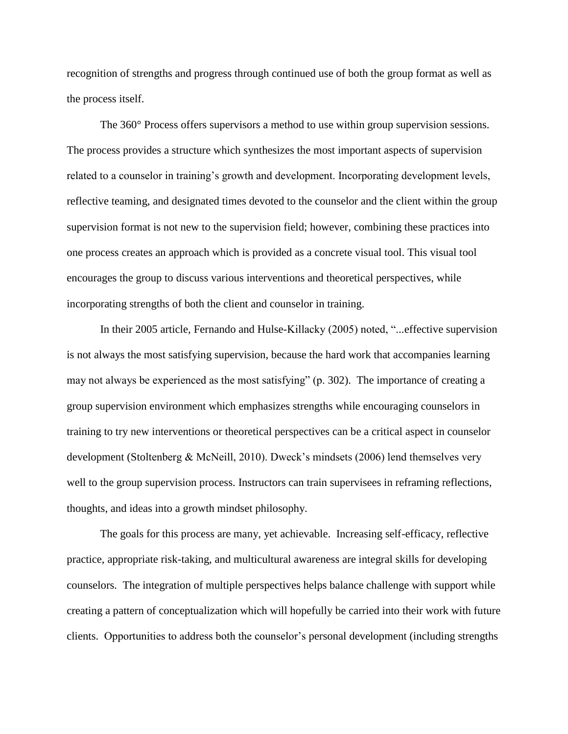recognition of strengths and progress through continued use of both the group format as well as the process itself.

The 360° Process offers supervisors a method to use within group supervision sessions. The process provides a structure which synthesizes the most important aspects of supervision related to a counselor in training's growth and development. Incorporating development levels, reflective teaming, and designated times devoted to the counselor and the client within the group supervision format is not new to the supervision field; however, combining these practices into one process creates an approach which is provided as a concrete visual tool. This visual tool encourages the group to discuss various interventions and theoretical perspectives, while incorporating strengths of both the client and counselor in training.

In their 2005 article*,* Fernando and Hulse-Killacky (2005) noted, "...effective supervision is not always the most satisfying supervision, because the hard work that accompanies learning may not always be experienced as the most satisfying" (p. 302). The importance of creating a group supervision environment which emphasizes strengths while encouraging counselors in training to try new interventions or theoretical perspectives can be a critical aspect in counselor development (Stoltenberg & McNeill, 2010). Dweck's mindsets (2006) lend themselves very well to the group supervision process. Instructors can train supervisees in reframing reflections, thoughts, and ideas into a growth mindset philosophy.

The goals for this process are many, yet achievable. Increasing self-efficacy, reflective practice, appropriate risk-taking, and multicultural awareness are integral skills for developing counselors. The integration of multiple perspectives helps balance challenge with support while creating a pattern of conceptualization which will hopefully be carried into their work with future clients. Opportunities to address both the counselor's personal development (including strengths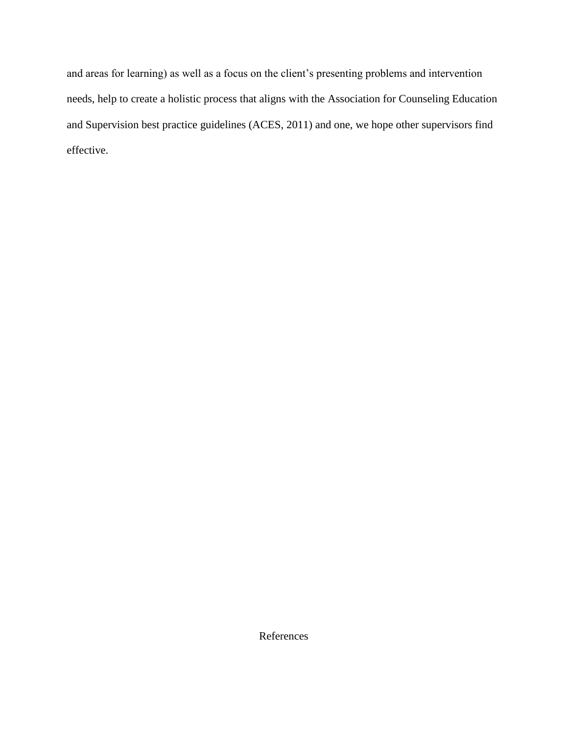and areas for learning) as well as a focus on the client's presenting problems and intervention needs, help to create a holistic process that aligns with the Association for Counseling Education and Supervision best practice guidelines (ACES, 2011) and one, we hope other supervisors find effective.

References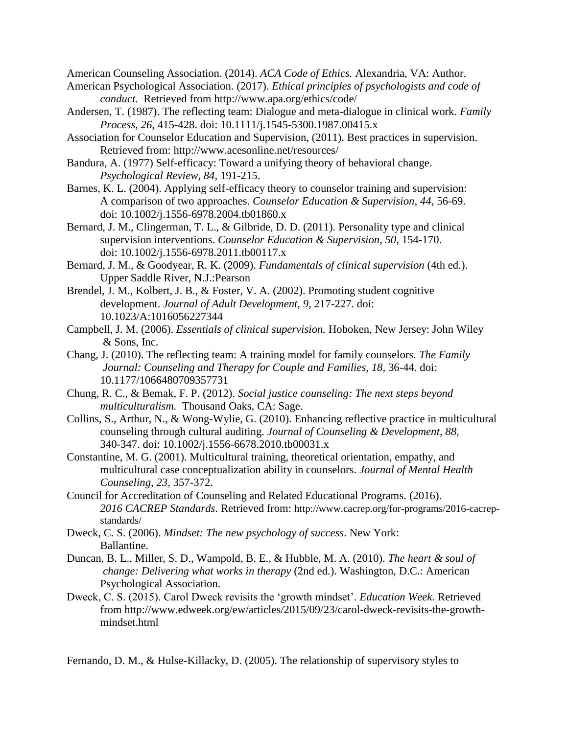American Counseling Association. (2014). *ACA Code of Ethics.* Alexandria, VA: Author.

- American Psychological Association. (2017). *Ethical principles of psychologists and code of conduct.* Retrieved from http://www.apa.org/ethics/code/
- Andersen, T. (1987). The reflecting team: Dialogue and meta-dialogue in clinical work. *Family Process, 26*, 415-428. doi: 10.1111/j.1545-5300.1987.00415.x
- Association for Counselor Education and Supervision, (2011). Best practices in supervision. Retrieved from: http://www.acesonline.net/resources/
- Bandura, A. (1977) Self-efficacy: Toward a unifying theory of behavioral change. *Psychological Review, 84,* 191-215.
- Barnes, K. L. (2004). Applying self-efficacy theory to counselor training and supervision: A comparison of two approaches. *Counselor Education & Supervision, 44*, 56-69. doi: 10.1002/j.1556-6978.2004.tb01860.x
- Bernard, J. M., Clingerman, T. L., & Gilbride, D. D. (2011). Personality type and clinical supervision interventions. *Counselor Education & Supervision, 50*, 154-170. doi: 10.1002/j.1556-6978.2011.tb00117.x
- Bernard, J. M., & Goodyear, R. K. (2009). *Fundamentals of clinical supervision* (4th ed.). Upper Saddle River, N.J.:Pearson
- Brendel, J. M., Kolbert, J. B., & Foster, V. A. (2002). Promoting student cognitive development. *Journal of Adult Development, 9*, 217-227. doi: 10.1023/A:1016056227344
- Campbell, J. M. (2006). *Essentials of clinical supervision.* Hoboken, New Jersey: John Wiley & Sons, Inc.
- Chang, J. (2010). The reflecting team: A training model for family counselors. *The Family Journal: Counseling and Therapy for Couple and Families, 18*, 36-44. doi: 10.1177/1066480709357731
- Chung, R. C., & Bemak, F. P. (2012). *Social justice counseling: The next steps beyond multiculturalism.* Thousand Oaks, CA: Sage.
- Collins, S., Arthur, N., & Wong-Wylie, G. (2010). Enhancing reflective practice in multicultural counseling through cultural auditing. *Journal of Counseling & Development, 88,*  340-347. doi: 10.1002/j.1556-6678.2010.tb00031.x
- Constantine, M. G. (2001). Multicultural training, theoretical orientation, empathy, and multicultural case conceptualization ability in counselors. *Journal of Mental Health Counseling, 23,* 357-372.
- Council for Accreditation of Counseling and Related Educational Programs. (2016). *2016 CACREP Standards*. Retrieved from: [http://www.cacrep.org/for-programs/2016-cacrep](http://www.cacrep.org/for-programs/2016-cacrep-)standards/
- Dweck, C. S. (2006). *Mindset: The new psychology of success*. New York: Ballantine.
- Duncan, B. L., Miller, S. D., Wampold, B. E., & Hubble, M. A. (2010). *The heart & soul of change: Delivering what works in therapy* (2nd ed.). Washington, D.C.: American Psychological Association.
- Dweck, C. S. (2015). Carol Dweck revisits the 'growth mindset'. *Education Week*. Retrieved from [http://www.edweek.org/ew/articles/2015/09/23/carol-dweck-revisits-the-growth](http://www.edweek.org/ew/articles/2015/09/23/carol-dweck-revisits-the-growth-)mindset.html

Fernando, D. M., & Hulse-Killacky, D. (2005). The relationship of supervisory styles to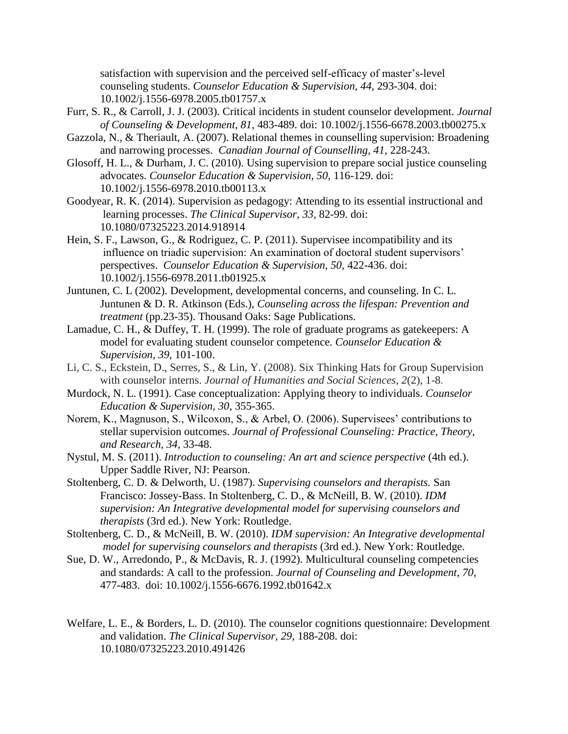satisfaction with supervision and the perceived self-efficacy of master's-level counseling students. *Counselor Education & Supervision, 44*, 293-304. doi: 10.1002/j.1556-6978.2005.tb01757.x

- Furr, S. R., & Carroll, J. J. (2003). Critical incidents in student counselor development. *Journal of Counseling & Development, 81,* 483-489. doi: 10.1002/j.1556-6678.2003.tb00275.x
- Gazzola, N., & Theriault, A. (2007). Relational themes in counselling supervision: Broadening and narrowing processes. *Canadian Journal of Counselling, 41,* 228-243.
- Glosoff, H. L., & Durham, J. C. (2010). Using supervision to prepare social justice counseling advocates. *Counselor Education & Supervision, 50,* 116-129. doi: 10.1002/j.1556-6978.2010.tb00113.x
- Goodyear, R. K. (2014). Supervision as pedagogy: Attending to its essential instructional and learning processes. *The Clinical Supervisor, 33,* 82-99. doi: 10.1080/07325223.2014.918914
- Hein, S. F., Lawson, G., & Rodriguez, C. P. (2011). Supervisee incompatibility and its influence on triadic supervision: An examination of doctoral student supervisors' perspectives. *Counselor Education & Supervision, 50,* 422-436. doi: 10.1002/j.1556-6978.2011.tb01925.x
- Juntunen, C. L (2002). Development, developmental concerns, and counseling. In C. L. Juntunen & D. R. Atkinson (Eds.), *Counseling across the lifespan: Prevention and treatment* (pp.23-35). Thousand Oaks: Sage Publications.
- Lamadue, C. H., & Duffey, T. H. (1999). The role of graduate programs as gatekeepers: A model for evaluating student counselor competence. *Counselor Education & Supervision, 39,* 101-100.
- Li, C. S., Eckstein, D., Serres, S., & Lin, Y. (2008). Six Thinking Hats for Group Supervision with counselor interns. *Journal of Humanities and Social Sciences*, *2*(2), 1-8.
- Murdock, N. L. (1991). Case conceptualization: Applying theory to individuals. *Counselor Education & Supervision, 30*, 355-365.
- Norem, K., Magnuson, S., Wilcoxon, S., & Arbel, O. (2006). Supervisees' contributions to stellar supervision outcomes. *Journal of Professional Counseling: Practice, Theory, and Research, 34,* 33-48.
- Nystul, M. S. (2011). *Introduction to counseling: An art and science perspective* (4th ed.). Upper Saddle River, NJ: Pearson.
- Stoltenberg, C. D. & Delworth, U. (1987). *Supervising counselors and therapists.* San Francisco: Jossey-Bass. In Stoltenberg, C. D., & McNeill, B. W. (2010). *IDM supervision: An Integrative developmental model for supervising counselors and therapists* (3rd ed.). New York: Routledge.
- Stoltenberg, C. D., & McNeill, B. W. (2010). *IDM supervision: An Integrative developmental model for supervising counselors and therapists* (3rd ed.). New York: Routledge.
- Sue, D. W., Arredondo, P., & McDavis, R. J. (1992). Multicultural counseling competencies and standards: A call to the profession. *Journal of Counseling and Development, 70,* 477-483. doi: 10.1002/j.1556-6676.1992.tb01642.x
- Welfare, L. E., & Borders, L. D. (2010). The counselor cognitions questionnaire: Development and validation. *The Clinical Supervisor, 29*, 188-208. doi: 10.1080/07325223.2010.491426